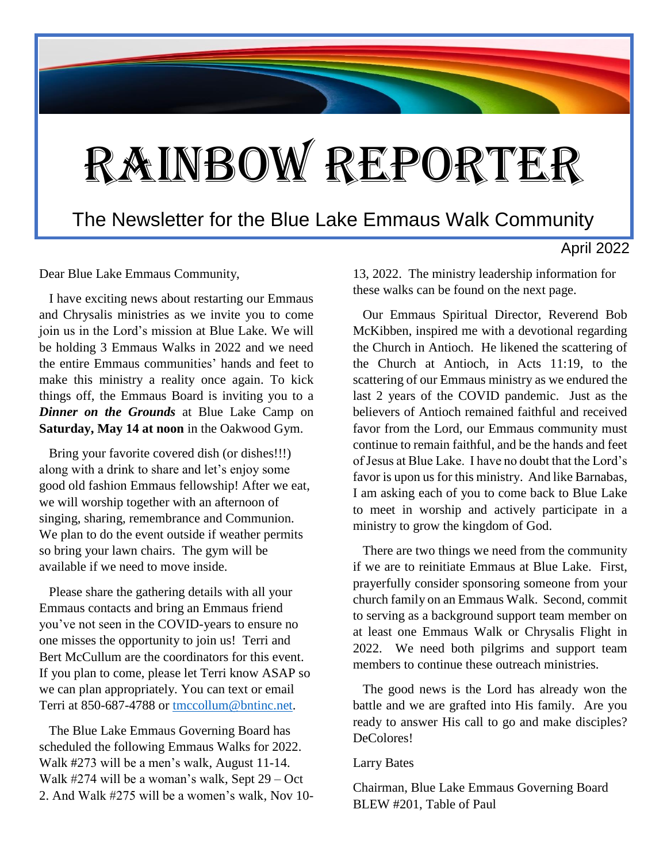## Rainbow Reporter

#### The Newsletter for the Blue Lake Emmaus Walk Community

April 2022

Dear Blue Lake Emmaus Community,

 I have exciting news about restarting our Emmaus and Chrysalis ministries as we invite you to come join us in the Lord's mission at Blue Lake. We will be holding 3 Emmaus Walks in 2022 and we need the entire Emmaus communities' hands and feet to make this ministry a reality once again. To kick things off, the Emmaus Board is inviting you to a *Dinner on the Grounds* at Blue Lake Camp on **Saturday, May 14 at noon** in the Oakwood Gym.

 Bring your favorite covered dish (or dishes!!!) along with a drink to share and let's enjoy some good old fashion Emmaus fellowship! After we eat, we will worship together with an afternoon of singing, sharing, remembrance and Communion. We plan to do the event outside if weather permits so bring your lawn chairs. The gym will be available if we need to move inside.

 Please share the gathering details with all your Emmaus contacts and bring an Emmaus friend you've not seen in the COVID-years to ensure no one misses the opportunity to join us! Terri and Bert McCullum are the coordinators for this event. If you plan to come, please let Terri know ASAP so we can plan appropriately. You can text or email Terri at 850-687-4788 or [tmccollum@bntinc.net.](about:blank)

 The Blue Lake Emmaus Governing Board has scheduled the following Emmaus Walks for 2022. Walk #273 will be a men's walk, August 11-14. Walk #274 will be a woman's walk, Sept 29 – Oct 2. And Walk #275 will be a women's walk, Nov 1013, 2022. The ministry leadership information for these walks can be found on the next page.

 Our Emmaus Spiritual Director, Reverend Bob McKibben, inspired me with a devotional regarding the Church in Antioch. He likened the scattering of the Church at Antioch, in Acts 11:19, to the scattering of our Emmaus ministry as we endured the last 2 years of the COVID pandemic. Just as the believers of Antioch remained faithful and received favor from the Lord, our Emmaus community must continue to remain faithful, and be the hands and feet of Jesus at Blue Lake. I have no doubt that the Lord's favor is upon us for this ministry. And like Barnabas, I am asking each of you to come back to Blue Lake to meet in worship and actively participate in a ministry to grow the kingdom of God.

 There are two things we need from the community if we are to reinitiate Emmaus at Blue Lake. First, prayerfully consider sponsoring someone from your church family on an Emmaus Walk. Second, commit to serving as a background support team member on at least one Emmaus Walk or Chrysalis Flight in 2022. We need both pilgrims and support team members to continue these outreach ministries.

 The good news is the Lord has already won the battle and we are grafted into His family. Are you ready to answer His call to go and make disciples? DeColores!

#### Larry Bates

Chairman, Blue Lake Emmaus Governing Board BLEW #201, Table of Paul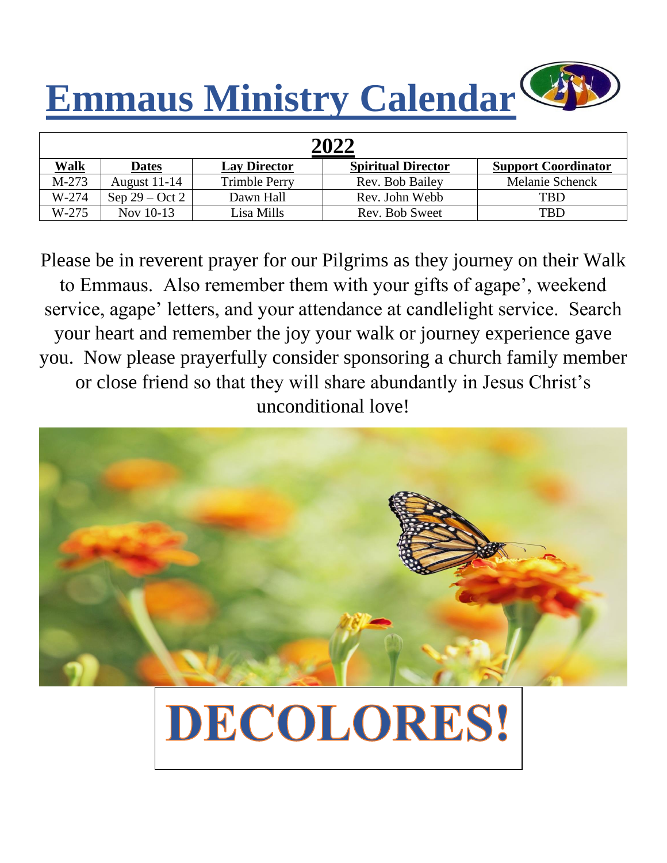# **Emmaus Ministry Calendar**

| 2022    |                  |                      |                           |                            |  |  |
|---------|------------------|----------------------|---------------------------|----------------------------|--|--|
| Walk    | <b>Dates</b>     | <b>Lay Director</b>  | <b>Spiritual Director</b> | <b>Support Coordinator</b> |  |  |
| M-273   | August $11-14$   | <b>Trimble Perry</b> | Rev. Bob Bailey           | Melanie Schenck            |  |  |
| W-274   | Sep $29 - Oct 2$ | Dawn Hall            | Rev. John Webb            | TBD                        |  |  |
| $W-275$ | Nov 10-13        | Lisa Mills           | Rev. Bob Sweet            | TBD                        |  |  |

Please be in reverent prayer for our Pilgrims as they journey on their Walk to Emmaus. Also remember them with your gifts of agape', weekend service, agape' letters, and your attendance at candlelight service. Search your heart and remember the joy your walk or journey experience gave you. Now please prayerfully consider sponsoring a church family member or close friend so that they will share abundantly in Jesus Christ's unconditional love!



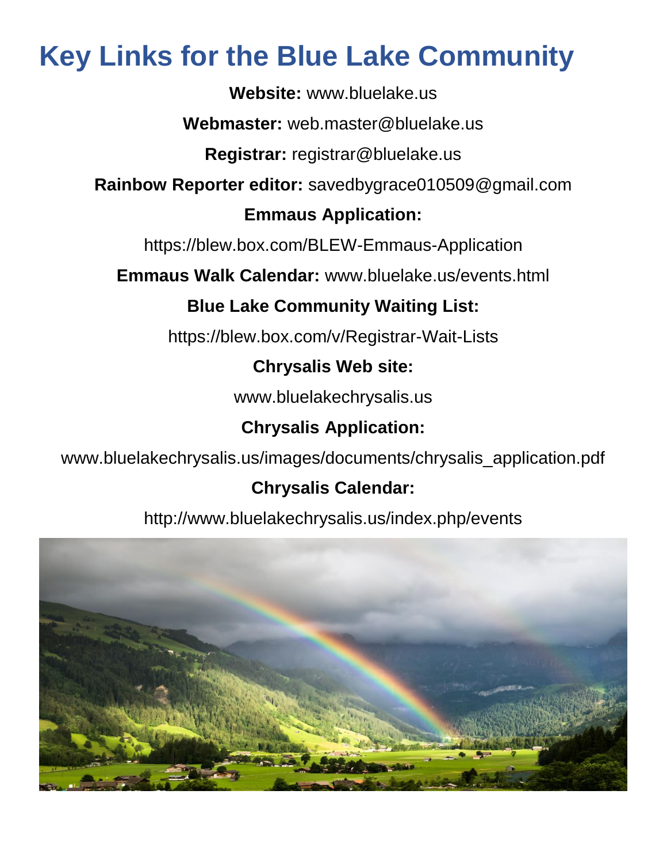### **Key Links for the Blue Lake Community**

**Website:** www.bluelake.us

**Webmaster:** web.master@bluelake.us

**Registrar:** registrar@bluelake.us

**Rainbow Reporter editor:** savedbygrace010509@gmail.com

#### **Emmaus Application:**

https://blew.box.com/BLEW-Emmaus-Application

**Emmaus Walk Calendar:** www.bluelake.us/events.html

#### **Blue Lake Community Waiting List:**

https://blew.box.com/v/Registrar-Wait-Lists

#### **Chrysalis Web site:**

www.bluelakechrysalis.us

#### **Chrysalis Application:**

www.bluelakechrysalis.us/images/documents/chrysalis\_application.pdf

#### **Chrysalis Calendar:**

http://www.bluelakechrysalis.us/index.php/events

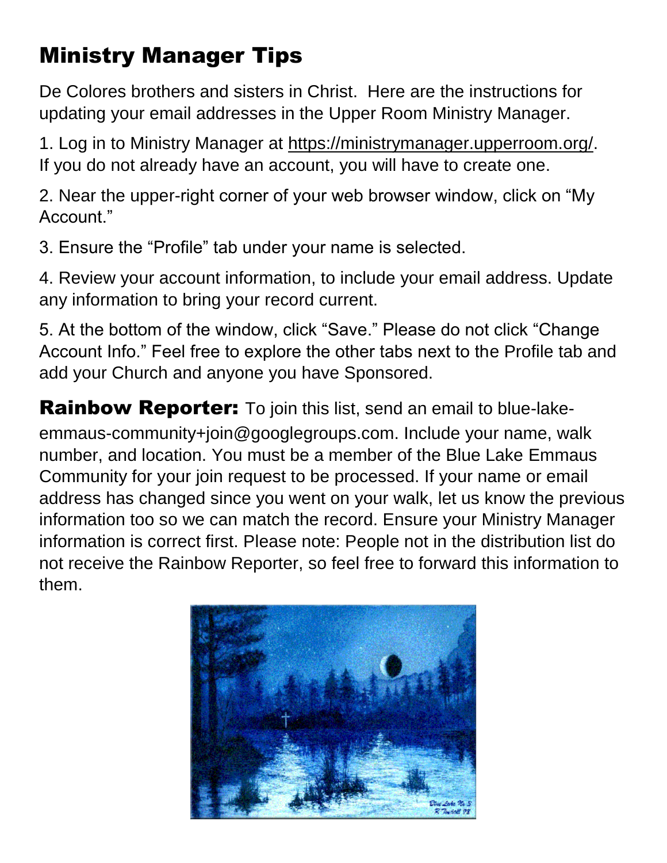### Ministry Manager Tips

De Colores brothers and sisters in Christ. Here are the instructions for updating your email addresses in the Upper Room Ministry Manager.

1. Log in to Ministry Manager at https://ministrymanager.upperroom.org/. If you do not already have an account, you will have to create one.

2. Near the upper-right corner of your web browser window, click on "My Account."

3. Ensure the "Profile" tab under your name is selected.

4. Review your account information, to include your email address. Update any information to bring your record current.

5. At the bottom of the window, click "Save." Please do not click "Change Account Info." Feel free to explore the other tabs next to the Profile tab and add your Church and anyone you have Sponsored.

**Rainbow Reporter:** To join this list, send an email to blue-lakeemmaus-community+join@googlegroups.com. Include your name, walk number, and location. You must be a member of the Blue Lake Emmaus Community for your join request to be processed. If your name or email address has changed since you went on your walk, let us know the previous information too so we can match the record. Ensure your Ministry Manager information is correct first. Please note: People not in the distribution list do not receive the Rainbow Reporter, so feel free to forward this information to them.

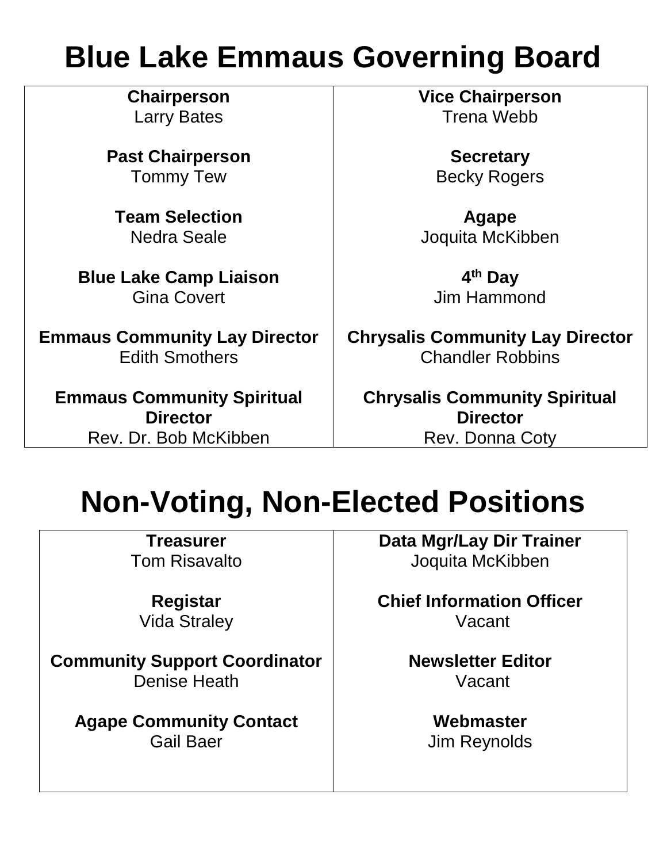## **Blue Lake Emmaus Governing Board**

**Chairperson** Larry Bates

**Past Chairperson** Tommy Tew

**Team Selection** Nedra Seale

**Blue Lake Camp Liaison** Gina Covert

**Emmaus Community Lay Director** Edith Smothers

**Emmaus Community Spiritual Director** Rev. Dr. Bob McKibben

**Vice Chairperson** Trena Webb

> **Secretary** Becky Rogers

**Agape** Joquita McKibben

**4 th Day** Jim Hammond

**Chrysalis Community Lay Director** Chandler Robbins

**Chrysalis Community Spiritual Director** Rev. Donna Coty

## **Non-Voting, Non-Elected Positions**

**Treasurer** Tom Risavalto

**Registar** Vida Straley

**Community Support Coordinator** Denise Heath

**Agape Community Contact** Gail Baer

**Data Mgr/Lay Dir Trainer** Joquita McKibben

**Chief Information Officer** Vacant

> **Newsletter Editor** Vacant

> > **Webmaster** Jim Reynolds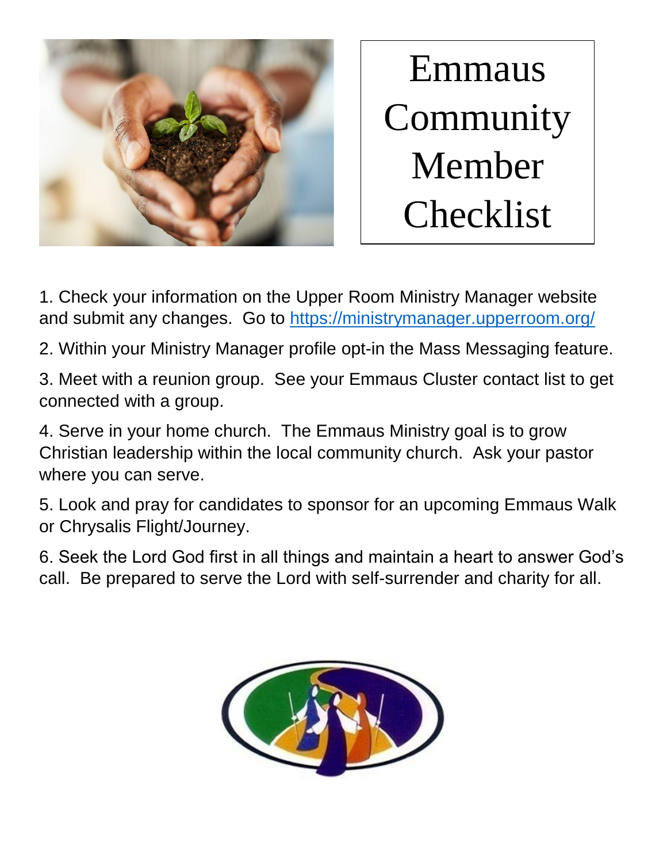

Emmaus **Community** Member Checklist

1. Check your information on the Upper Room Ministry Manager website and submit any changes. Go to [https://ministrymanager.upperroom.org/](about:blank)

2. Within your Ministry Manager profile opt-in the Mass Messaging feature.

3. Meet with a reunion group. See your Emmaus Cluster contact list to get connected with a group.

4. Serve in your home church. The Emmaus Ministry goal is to grow Christian leadership within the local community church. Ask your pastor where you can serve.

5. Look and pray for candidates to sponsor for an upcoming Emmaus Walk or Chrysalis Flight/Journey.

6. Seek the Lord God first in all things and maintain a heart to answer God's call. Be prepared to serve the Lord with self-surrender and charity for all.